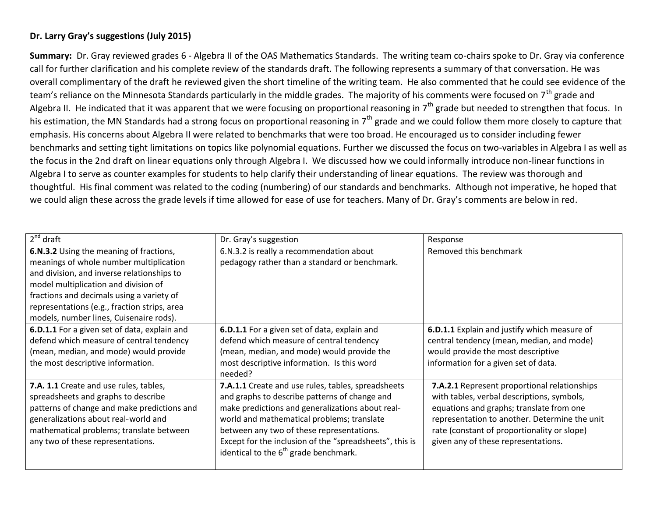## **Dr. Larry Gray's suggestions (July 2015)**

**Summary:** Dr. Gray reviewed grades 6 - Algebra II of the OAS Mathematics Standards. The writing team co-chairs spoke to Dr. Gray via conference call for further clarification and his complete review of the standards draft. The following represents a summary of that conversation. He was overall complimentary of the draft he reviewed given the short timeline of the writing team. He also commented that he could see evidence of the team's reliance on the Minnesota Standards particularly in the middle grades. The majority of his comments were focused on 7<sup>th</sup> grade and Algebra II. He indicated that it was apparent that we were focusing on proportional reasoning in  $7<sup>th</sup>$  grade but needed to strengthen that focus. In his estimation, the MN Standards had a strong focus on proportional reasoning in 7<sup>th</sup> grade and we could follow them more closely to capture that emphasis. His concerns about Algebra II were related to benchmarks that were too broad. He encouraged us to consider including fewer benchmarks and setting tight limitations on topics like polynomial equations. Further we discussed the focus on two-variables in Algebra I as well as the focus in the 2nd draft on linear equations only through Algebra I. We discussed how we could informally introduce non-linear functions in Algebra I to serve as counter examples for students to help clarify their understanding of linear equations. The review was thorough and thoughtful. His final comment was related to the coding (numbering) of our standards and benchmarks. Although not imperative, he hoped that we could align these across the grade levels if time allowed for ease of use for teachers. Many of Dr. Gray's comments are below in red.

| $\overline{2^{nd}}$ draft                                                                                                                                                                                                                                                                                        | Dr. Gray's suggestion                                                                                                                                                                                                                                                                                                                                    | Response                                                                                                                                                                                                                                                                      |
|------------------------------------------------------------------------------------------------------------------------------------------------------------------------------------------------------------------------------------------------------------------------------------------------------------------|----------------------------------------------------------------------------------------------------------------------------------------------------------------------------------------------------------------------------------------------------------------------------------------------------------------------------------------------------------|-------------------------------------------------------------------------------------------------------------------------------------------------------------------------------------------------------------------------------------------------------------------------------|
| 6.N.3.2 Using the meaning of fractions,<br>meanings of whole number multiplication<br>and division, and inverse relationships to<br>model multiplication and division of<br>fractions and decimals using a variety of<br>representations (e.g., fraction strips, area<br>models, number lines, Cuisenaire rods). | 6.N.3.2 is really a recommendation about<br>pedagogy rather than a standard or benchmark.                                                                                                                                                                                                                                                                | Removed this benchmark                                                                                                                                                                                                                                                        |
| 6.D.1.1 For a given set of data, explain and<br>defend which measure of central tendency<br>(mean, median, and mode) would provide<br>the most descriptive information.                                                                                                                                          | 6.D.1.1 For a given set of data, explain and<br>defend which measure of central tendency<br>(mean, median, and mode) would provide the<br>most descriptive information. Is this word<br>needed?                                                                                                                                                          | 6.D.1.1 Explain and justify which measure of<br>central tendency (mean, median, and mode)<br>would provide the most descriptive<br>information for a given set of data.                                                                                                       |
| 7.A. 1.1 Create and use rules, tables,<br>spreadsheets and graphs to describe<br>patterns of change and make predictions and<br>generalizations about real-world and<br>mathematical problems; translate between<br>any two of these representations.                                                            | 7.A.1.1 Create and use rules, tables, spreadsheets<br>and graphs to describe patterns of change and<br>make predictions and generalizations about real-<br>world and mathematical problems; translate<br>between any two of these representations.<br>Except for the inclusion of the "spreadsheets", this is<br>identical to the $6th$ grade benchmark. | 7.A.2.1 Represent proportional relationships<br>with tables, verbal descriptions, symbols,<br>equations and graphs; translate from one<br>representation to another. Determine the unit<br>rate (constant of proportionality or slope)<br>given any of these representations. |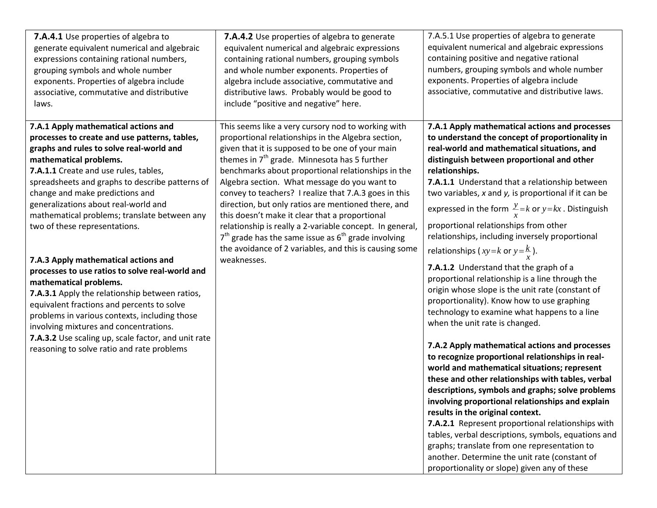| 7.A.4.1 Use properties of algebra to<br>generate equivalent numerical and algebraic<br>expressions containing rational numbers,<br>grouping symbols and whole number<br>exponents. Properties of algebra include<br>associative, commutative and distributive<br>laws.                                                                                                                                                                                      | 7.A.4.2 Use properties of algebra to generate<br>equivalent numerical and algebraic expressions<br>containing rational numbers, grouping symbols<br>and whole number exponents. Properties of<br>algebra include associative, commutative and<br>distributive laws. Probably would be good to<br>include "positive and negative" here.                                                                                                                                                                                                                                                                                                                                                 | 7.A.5.1 Use properties of algebra to generate<br>equivalent numerical and algebraic expressions<br>containing positive and negative rational<br>numbers, grouping symbols and whole number<br>exponents. Properties of algebra include<br>associative, commutative and distributive laws.                                                                                                                                                                                                                                                                                                                                                                                                                                                                                                                                                               |
|-------------------------------------------------------------------------------------------------------------------------------------------------------------------------------------------------------------------------------------------------------------------------------------------------------------------------------------------------------------------------------------------------------------------------------------------------------------|----------------------------------------------------------------------------------------------------------------------------------------------------------------------------------------------------------------------------------------------------------------------------------------------------------------------------------------------------------------------------------------------------------------------------------------------------------------------------------------------------------------------------------------------------------------------------------------------------------------------------------------------------------------------------------------|---------------------------------------------------------------------------------------------------------------------------------------------------------------------------------------------------------------------------------------------------------------------------------------------------------------------------------------------------------------------------------------------------------------------------------------------------------------------------------------------------------------------------------------------------------------------------------------------------------------------------------------------------------------------------------------------------------------------------------------------------------------------------------------------------------------------------------------------------------|
| 7.A.1 Apply mathematical actions and<br>processes to create and use patterns, tables,<br>graphs and rules to solve real-world and<br>mathematical problems.<br>7.A.1.1 Create and use rules, tables,<br>spreadsheets and graphs to describe patterns of<br>change and make predictions and<br>generalizations about real-world and<br>mathematical problems; translate between any<br>two of these representations.<br>7.A.3 Apply mathematical actions and | This seems like a very cursory nod to working with<br>proportional relationships in the Algebra section,<br>given that it is supposed to be one of your main<br>themes in $7th$ grade. Minnesota has 5 further<br>benchmarks about proportional relationships in the<br>Algebra section. What message do you want to<br>convey to teachers? I realize that 7.A.3 goes in this<br>direction, but only ratios are mentioned there, and<br>this doesn't make it clear that a proportional<br>relationship is really a 2-variable concept. In general,<br>$7th$ grade has the same issue as $6th$ grade involving<br>the avoidance of 2 variables, and this is causing some<br>weaknesses. | 7.A.1 Apply mathematical actions and processes<br>to understand the concept of proportionality in<br>real-world and mathematical situations, and<br>distinguish between proportional and other<br>relationships.<br>7.A.1.1 Understand that a relationship between<br>two variables, x and y, is proportional if it can be<br>expressed in the form $\frac{y}{r} = k$ or $y = kx$ . Distinguish<br>proportional relationships from other<br>relationships, including inversely proportional<br>relationships (xy=k or y= $\frac{k}{r}$ ).<br>7.A.1.2 Understand that the graph of a                                                                                                                                                                                                                                                                     |
| processes to use ratios to solve real-world and<br>mathematical problems.<br>7.A.3.1 Apply the relationship between ratios,<br>equivalent fractions and percents to solve<br>problems in various contexts, including those<br>involving mixtures and concentrations.<br>7.A.3.2 Use scaling up, scale factor, and unit rate<br>reasoning to solve ratio and rate problems                                                                                   |                                                                                                                                                                                                                                                                                                                                                                                                                                                                                                                                                                                                                                                                                        | proportional relationship is a line through the<br>origin whose slope is the unit rate (constant of<br>proportionality). Know how to use graphing<br>technology to examine what happens to a line<br>when the unit rate is changed.<br>7.A.2 Apply mathematical actions and processes<br>to recognize proportional relationships in real-<br>world and mathematical situations; represent<br>these and other relationships with tables, verbal<br>descriptions, symbols and graphs; solve problems<br>involving proportional relationships and explain<br>results in the original context.<br>7.A.2.1 Represent proportional relationships with<br>tables, verbal descriptions, symbols, equations and<br>graphs; translate from one representation to<br>another. Determine the unit rate (constant of<br>proportionality or slope) given any of these |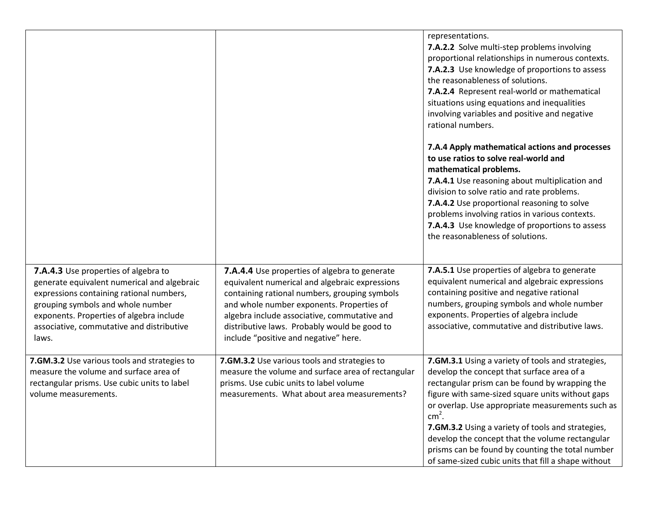|                                                                                                                                                                                                                                                                        |                                                                                                                                                                                                                                                                                                                                        | representations.<br>7.A.2.2 Solve multi-step problems involving<br>proportional relationships in numerous contexts.<br>7.A.2.3 Use knowledge of proportions to assess<br>the reasonableness of solutions.<br>7.A.2.4 Represent real-world or mathematical<br>situations using equations and inequalities<br>involving variables and positive and negative<br>rational numbers.                                                                                                          |
|------------------------------------------------------------------------------------------------------------------------------------------------------------------------------------------------------------------------------------------------------------------------|----------------------------------------------------------------------------------------------------------------------------------------------------------------------------------------------------------------------------------------------------------------------------------------------------------------------------------------|-----------------------------------------------------------------------------------------------------------------------------------------------------------------------------------------------------------------------------------------------------------------------------------------------------------------------------------------------------------------------------------------------------------------------------------------------------------------------------------------|
|                                                                                                                                                                                                                                                                        |                                                                                                                                                                                                                                                                                                                                        | 7.A.4 Apply mathematical actions and processes<br>to use ratios to solve real-world and<br>mathematical problems.<br>7.A.4.1 Use reasoning about multiplication and<br>division to solve ratio and rate problems.<br>7.A.4.2 Use proportional reasoning to solve<br>problems involving ratios in various contexts.<br>7.A.4.3 Use knowledge of proportions to assess<br>the reasonableness of solutions.                                                                                |
| 7.A.4.3 Use properties of algebra to<br>generate equivalent numerical and algebraic<br>expressions containing rational numbers,<br>grouping symbols and whole number<br>exponents. Properties of algebra include<br>associative, commutative and distributive<br>laws. | 7.A.4.4 Use properties of algebra to generate<br>equivalent numerical and algebraic expressions<br>containing rational numbers, grouping symbols<br>and whole number exponents. Properties of<br>algebra include associative, commutative and<br>distributive laws. Probably would be good to<br>include "positive and negative" here. | 7.A.5.1 Use properties of algebra to generate<br>equivalent numerical and algebraic expressions<br>containing positive and negative rational<br>numbers, grouping symbols and whole number<br>exponents. Properties of algebra include<br>associative, commutative and distributive laws.                                                                                                                                                                                               |
| 7.GM.3.2 Use various tools and strategies to<br>measure the volume and surface area of<br>rectangular prisms. Use cubic units to label<br>volume measurements.                                                                                                         | 7.GM.3.2 Use various tools and strategies to<br>measure the volume and surface area of rectangular<br>prisms. Use cubic units to label volume<br>measurements. What about area measurements?                                                                                                                                           | 7.GM.3.1 Using a variety of tools and strategies,<br>develop the concept that surface area of a<br>rectangular prism can be found by wrapping the<br>figure with same-sized square units without gaps<br>or overlap. Use appropriate measurements such as<br>$cm2$ .<br>7.GM.3.2 Using a variety of tools and strategies,<br>develop the concept that the volume rectangular<br>prisms can be found by counting the total number<br>of same-sized cubic units that fill a shape without |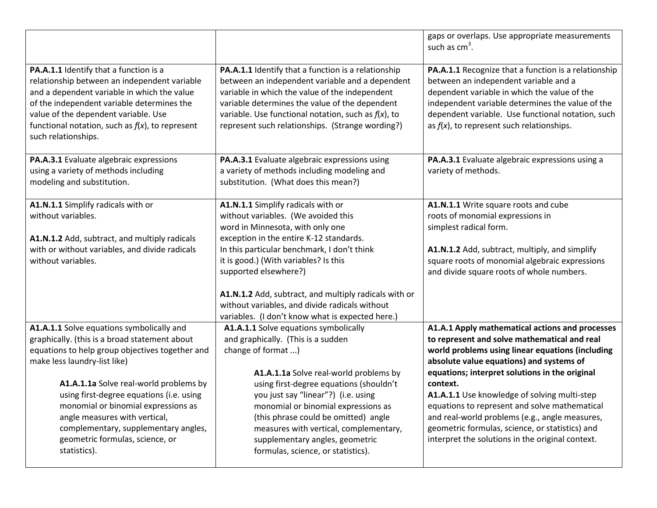|                                                                                                                                                                                                                                                                                                                                                                                                                                        |                                                                                                                                                                                                                                                                                                                                                                                                                                          | gaps or overlaps. Use appropriate measurements<br>such as $cm3$ .                                                                                                                                                                                                                                                                                                                                                                                                                                                       |
|----------------------------------------------------------------------------------------------------------------------------------------------------------------------------------------------------------------------------------------------------------------------------------------------------------------------------------------------------------------------------------------------------------------------------------------|------------------------------------------------------------------------------------------------------------------------------------------------------------------------------------------------------------------------------------------------------------------------------------------------------------------------------------------------------------------------------------------------------------------------------------------|-------------------------------------------------------------------------------------------------------------------------------------------------------------------------------------------------------------------------------------------------------------------------------------------------------------------------------------------------------------------------------------------------------------------------------------------------------------------------------------------------------------------------|
| PA.A.1.1 Identify that a function is a<br>relationship between an independent variable<br>and a dependent variable in which the value<br>of the independent variable determines the<br>value of the dependent variable. Use<br>functional notation, such as $f(x)$ , to represent<br>such relationships.                                                                                                                               | PA.A.1.1 Identify that a function is a relationship<br>between an independent variable and a dependent<br>variable in which the value of the independent<br>variable determines the value of the dependent<br>variable. Use functional notation, such as $f(x)$ , to<br>represent such relationships. (Strange wording?)                                                                                                                 | PA.A.1.1 Recognize that a function is a relationship<br>between an independent variable and a<br>dependent variable in which the value of the<br>independent variable determines the value of the<br>dependent variable. Use functional notation, such<br>as $f(x)$ , to represent such relationships.                                                                                                                                                                                                                  |
| PA.A.3.1 Evaluate algebraic expressions<br>using a variety of methods including<br>modeling and substitution.                                                                                                                                                                                                                                                                                                                          | PA.A.3.1 Evaluate algebraic expressions using<br>a variety of methods including modeling and<br>substitution. (What does this mean?)                                                                                                                                                                                                                                                                                                     | PA.A.3.1 Evaluate algebraic expressions using a<br>variety of methods.                                                                                                                                                                                                                                                                                                                                                                                                                                                  |
| A1.N.1.1 Simplify radicals with or<br>without variables.<br>A1.N.1.2 Add, subtract, and multiply radicals<br>with or without variables, and divide radicals<br>without variables.                                                                                                                                                                                                                                                      | A1.N.1.1 Simplify radicals with or<br>without variables. (We avoided this<br>word in Minnesota, with only one<br>exception in the entire K-12 standards.<br>In this particular benchmark, I don't think<br>it is good.) (With variables? Is this<br>supported elsewhere?)<br>A1.N.1.2 Add, subtract, and multiply radicals with or<br>without variables, and divide radicals without<br>variables. (I don't know what is expected here.) | A1.N.1.1 Write square roots and cube<br>roots of monomial expressions in<br>simplest radical form.<br>A1.N.1.2 Add, subtract, multiply, and simplify<br>square roots of monomial algebraic expressions<br>and divide square roots of whole numbers.                                                                                                                                                                                                                                                                     |
| A1.A.1.1 Solve equations symbolically and<br>graphically. (this is a broad statement about<br>equations to help group objectives together and<br>make less laundry-list like)<br>A1.A.1.1a Solve real-world problems by<br>using first-degree equations (i.e. using<br>monomial or binomial expressions as<br>angle measures with vertical,<br>complementary, supplementary angles,<br>geometric formulas, science, or<br>statistics). | A1.A.1.1 Solve equations symbolically<br>and graphically. (This is a sudden<br>change of format )<br>A1.A.1.1a Solve real-world problems by<br>using first-degree equations (shouldn't<br>you just say "linear"?) (i.e. using<br>monomial or binomial expressions as<br>(this phrase could be omitted) angle<br>measures with vertical, complementary,<br>supplementary angles, geometric<br>formulas, science, or statistics).          | A1.A.1 Apply mathematical actions and processes<br>to represent and solve mathematical and real<br>world problems using linear equations (including<br>absolute value equations) and systems of<br>equations; interpret solutions in the original<br>context.<br>A1.A.1.1 Use knowledge of solving multi-step<br>equations to represent and solve mathematical<br>and real-world problems (e.g., angle measures,<br>geometric formulas, science, or statistics) and<br>interpret the solutions in the original context. |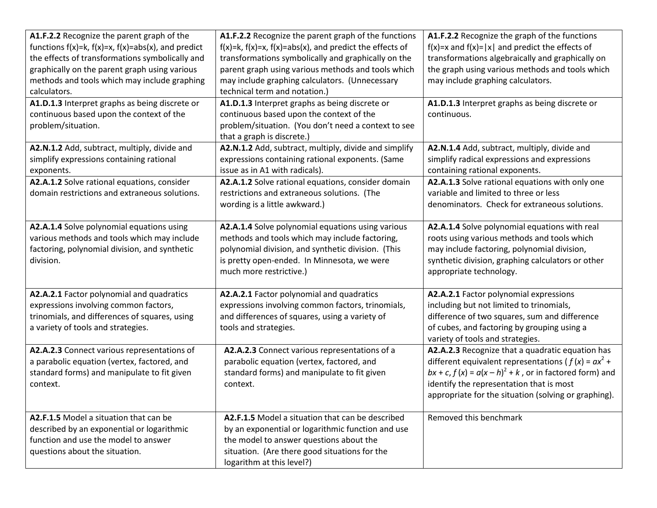| A1.F.2.2 Recognize the parent graph of the<br>functions $f(x)=k$ , $f(x)=x$ , $f(x)=abs(x)$ , and predict<br>the effects of transformations symbolically and<br>graphically on the parent graph using various<br>methods and tools which may include graphing<br>calculators. | A1.F.2.2 Recognize the parent graph of the functions<br>$f(x)=k$ , $f(x)=x$ , $f(x)=abs(x)$ , and predict the effects of<br>transformations symbolically and graphically on the<br>parent graph using various methods and tools which<br>may include graphing calculators. (Unnecessary<br>technical term and notation.) | A1.F.2.2 Recognize the graph of the functions<br>$f(x)=x$ and $f(x)= x $ and predict the effects of<br>transformations algebraically and graphically on<br>the graph using various methods and tools which<br>may include graphing calculators.                                 |
|-------------------------------------------------------------------------------------------------------------------------------------------------------------------------------------------------------------------------------------------------------------------------------|--------------------------------------------------------------------------------------------------------------------------------------------------------------------------------------------------------------------------------------------------------------------------------------------------------------------------|---------------------------------------------------------------------------------------------------------------------------------------------------------------------------------------------------------------------------------------------------------------------------------|
| A1.D.1.3 Interpret graphs as being discrete or<br>continuous based upon the context of the<br>problem/situation.                                                                                                                                                              | A1.D.1.3 Interpret graphs as being discrete or<br>continuous based upon the context of the<br>problem/situation. (You don't need a context to see<br>that a graph is discrete.)                                                                                                                                          | A1.D.1.3 Interpret graphs as being discrete or<br>continuous.                                                                                                                                                                                                                   |
| A2.N.1.2 Add, subtract, multiply, divide and<br>simplify expressions containing rational<br>exponents.<br>A2.A.1.2 Solve rational equations, consider<br>domain restrictions and extraneous solutions.                                                                        | A2.N.1.2 Add, subtract, multiply, divide and simplify<br>expressions containing rational exponents. (Same<br>issue as in A1 with radicals).<br>A2.A.1.2 Solve rational equations, consider domain<br>restrictions and extraneous solutions. (The<br>wording is a little awkward.)                                        | A2.N.1.4 Add, subtract, multiply, divide and<br>simplify radical expressions and expressions<br>containing rational exponents.<br>A2.A.1.3 Solve rational equations with only one<br>variable and limited to three or less<br>denominators. Check for extraneous solutions.     |
| A2.A.1.4 Solve polynomial equations using<br>various methods and tools which may include<br>factoring, polynomial division, and synthetic<br>division.                                                                                                                        | A2.A.1.4 Solve polynomial equations using various<br>methods and tools which may include factoring,<br>polynomial division, and synthetic division. (This<br>is pretty open-ended. In Minnesota, we were<br>much more restrictive.)                                                                                      | A2.A.1.4 Solve polynomial equations with real<br>roots using various methods and tools which<br>may include factoring, polynomial division,<br>synthetic division, graphing calculators or other<br>appropriate technology.                                                     |
| A2.A.2.1 Factor polynomial and quadratics<br>expressions involving common factors,<br>trinomials, and differences of squares, using<br>a variety of tools and strategies.                                                                                                     | A2.A.2.1 Factor polynomial and quadratics<br>expressions involving common factors, trinomials,<br>and differences of squares, using a variety of<br>tools and strategies.                                                                                                                                                | A2.A.2.1 Factor polynomial expressions<br>including but not limited to trinomials,<br>difference of two squares, sum and difference<br>of cubes, and factoring by grouping using a<br>variety of tools and strategies.                                                          |
| A2.A.2.3 Connect various representations of<br>a parabolic equation (vertex, factored, and<br>standard forms) and manipulate to fit given<br>context.                                                                                                                         | A2.A.2.3 Connect various representations of a<br>parabolic equation (vertex, factored, and<br>standard forms) and manipulate to fit given<br>context.                                                                                                                                                                    | A2.A.2.3 Recognize that a quadratic equation has<br>different equivalent representations ( $f(x) = ax^2 +$<br>$bx + c$ , $f(x) = a(x - h)^2 + k$ , or in factored form) and<br>identify the representation that is most<br>appropriate for the situation (solving or graphing). |
| A2.F.1.5 Model a situation that can be<br>described by an exponential or logarithmic<br>function and use the model to answer<br>questions about the situation.                                                                                                                | A2.F.1.5 Model a situation that can be described<br>by an exponential or logarithmic function and use<br>the model to answer questions about the<br>situation. (Are there good situations for the<br>logarithm at this level?)                                                                                           | Removed this benchmark                                                                                                                                                                                                                                                          |